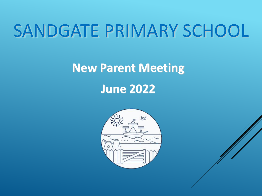# SANDGATE PRIMARY SCHOOL

## **New Parent Meeting**

**June 2022**

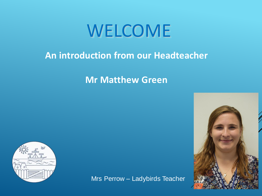# WELCOME

## **An introduction from our Headteacher**

## **Mr Matthew Green**



Mrs Perrow – Ladybirds Teacher

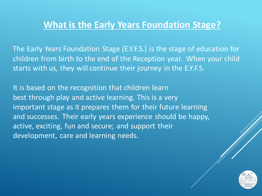### **What is the Early Years Foundation Stage?**

The Early Years Foundation Stage (E.Y.F.S.) is the stage of education for children from birth to the end of the Reception year. When your child starts with us, they will continue their journey in the E.Y.F.S.

It is based on the recognition that children learn best through play and active learning. This is a very important stage as it prepares them for their future learning and successes. Their early years experience should be happy, active, exciting, fun and secure; and support their development, care and learning needs.

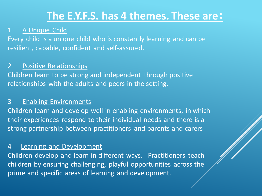## **The E.Y.F.S. has 4 themes. These are:**

#### 1 A Unique Child

Every child is a unique child who is constantly learning and can be resilient, capable, confident and self-assured.

#### 2 Positive Relationships

Children learn to be strong and independent through positive relationships with the adults and peers in the setting.

#### 3 Enabling Environments

Children learn and develop well in enabling environments, in which their experiences respond to their individual needs and there is a strong partnership between practitioners and parents and carers

#### 4 Learning and Development

Children develop and learn in different ways. Practitioners teach children by ensuring challenging, playful opportunities across the prime and specific areas of learning and development.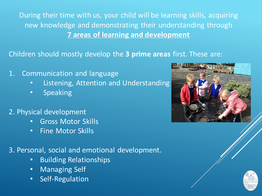During their time with us, your child will be learning skills, acquiring new knowledge and demonstrating their understanding through **7 areas of learning and development**

Children should mostly develop the **3 prime areas** first. These are:

- 1. Communication and language
	- Listening, Attention and Understanding
	- Speaking
- 2. Physical development
	- Gross Motor Skills
	- Fine Motor Skills

3. Personal, social and emotional development.

- Building Relationships
- Managing Self
- Self-Regulation



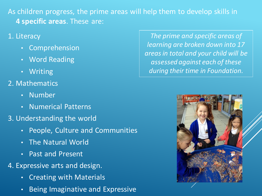As children progress, the prime areas will help them to develop skills in **4 specific areas**. These are:

- 1. Literacy
	- **Comprehension**
	- **Word Reading**
	- **Writing**
- 2. Mathematics
	- Number
	- Numerical Patterns
- 3. Understanding the world
	- People, Culture and Communities
	- The Natural World
	- Past and Present
- 4. Expressive arts and design.
	- Creating with Materials
	- Being Imaginative and Expressive

*The prime and specific areas of learning are broken down into 17 areas in total and your child will be assessed against each of these during their time in Foundation.*

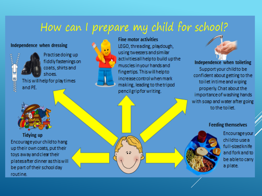## How can I prepare my child for school?

#### Independence when dressing



Practise doing up fiddly fastenings on coats, shirts and shoes. This will help for play times



**Fine motor activities** LEGO, threading, playdough, using tweezers and similar activitiesall help to build up the muscles in your hands and fingertips. This will help to increase control when mark making, leading to the tripod pencilgripfor writing.



Independence when toileting Support your child to be confident about getting to the toilet in time and wiping properly. Chat about the importance of washing hands with soap and water after going to the toilet.

#### **Feeding themselves**

Encourage your childto use a full-sizedknife and fork and to be able to carry a plate.



**Tidying up** Encourage your child to hang up their own coats, put their toys away and clear their platesafter dinner as this will be part of their school day routine.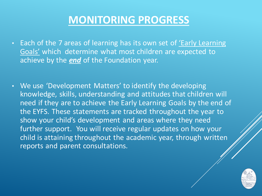## **MONITORING PROGRESS**

- Each of the 7 areas of learning has its own set of *'Early Learning* Goals' which determine what most children are expected to achieve by the *end* of the Foundation year.
- We use 'Development Matters' to identify the developing knowledge, skills, understanding and attitudes that children will need if they are to achieve the Early Learning Goals by the end of the EYFS. These statements are tracked throughout the year to show your child's development and areas where they need further support. You will receive regular updates on how your child is attaining throughout the academic year, through written reports and parent consultations.

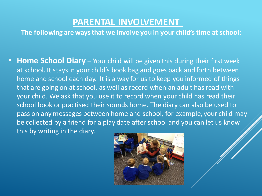### **PARENTAL INVOLVEMENT**

**The following are ways that we involve you in your child's time at school:**

• **Home School Diary** – Your child will be given this during their first week at school. It stays in your child's book bag and goes back and forth between home and school each day. It is a way for us to keep you informed of things that are going on at school, as well as record when an adult has read with your child. We ask that you use it to record when your child has read their school book or practised their sounds home. The diary can also be used to pass on any messages between home and school, for example, your child may be collected by a friend for a play date after school and you can let us know this by writing in the diary.

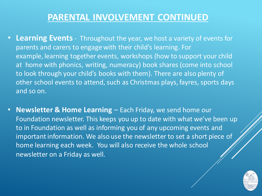### **PARENTAL INVOLVEMENT CONTINUED**

- **Learning Events** Throughout the year, we host a variety of events for parents and carers to engage with their child's learning. For example, learning together events, workshops (how to support your child at home with phonics, writing, numeracy) book shares (come into school to look through your child's books with them). There are also plenty of other school events to attend, such as Christmas plays, fayres, sports days and so on.
- **Newsletter & Home Learning** Each Friday, we send home our Foundation newsletter. This keeps you up to date with what we've been up to in Foundation as well as informing you of any upcoming events and important information. We also use the newsletter to set a short piece of home learning each week. You will also receive the whole school newsletter on a Friday as well.

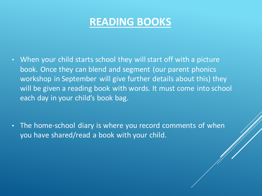## **READING BOOKS**

- When your child starts school they will start off with a picture book. Once they can blend and segment (our parent phonics workshop in September will give further details about this) they will be given a reading book with words. It must come into school each day in your child's book bag.
- The home-school diary is where you record comments of when you have shared/read a book with your child.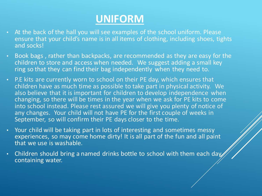## **UNIFORM**

- At the back of the hall you will see examples of the school uniform. Please ensure that your child's name is in all items of clothing, including shoes, tights and socks!
- Book bags , rather than backpacks, are recommended as they are easy for the children to store and access when needed. We suggest adding a small key ring so that they can find their bag independently when they need to.
- P.E kits are currently worn to school on their PE day, which ensures that children have as much time as possible to take part in physical activity. We also believe that it is important for children to develop independence when changing, so there will be times in the year when we ask for PE kits to come into school instead. Please rest assured we will give you plenty of notice of any changes. Your child will not have PE for the first couple of weeks in September, so will confirm their PE days closer to the time.
- Your child will be taking part in lots of interesting and sometimes messy<br>experiences, so may come home dirty! It is all part of the fun and all paint experiences, so may come home dirty! It is all part of the fun and all paint that we use is washable.
- Children should bring a named drinks bottle to school with them each day containing water.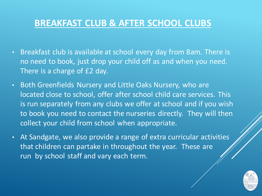### **BREAKFAST CLUB & AFTER SCHOOL CLUBS**

- Breakfast club is available at school every day from 8am. There is no need to book, just drop your child off as and when you need. There is a charge of £2 day.
- Both Greenfields Nursery and Little Oaks Nursery, who are located close to school, offer after school child care services. This is run separately from any clubs we offer at school and if you wish to book you need to contact the nurseries directly. They will then collect your child from school when appropriate.
- At Sandgate, we also provide a range of extra curricular activities that children can partake in throughout the year. These are run by school staff and vary each term.

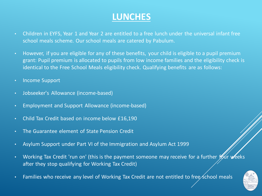### **LUNCHES**

- Children in EYFS, Year 1 and Year 2 are entitled to a free lunch under the universal infant free school meals scheme. Our school meals are catered by Pabulum.
- However, if you are eligible for any of these benefits, your child is eligible to a pupil premium grant: Pupil premium is allocated to pupils from low income families and the eligibility check is identical to the Free School Meals eligibility check. Qualifying benefits are as follows:
- Income Support
- Jobseeker's Allowance (income-based)
- Employment and Support Allowance (income-based)
- Child Tax Credit based on income below £16,190
- The Guarantee element of State Pension Credit
- Asylum Support under Part VI of the Immigration and Asylum Act 1999
- Working Tax Credit 'run on' (this is the payment someone may receive for a further four weeks after they stop qualifying for Working Tax Credit)
- Families who receive any level of Working Tax Credit are not entitled to free school meals

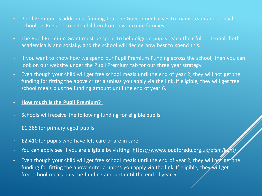- Pupil Premium is additional funding that the Government gives to mainstream and special schools in England to help children from low income families.
- The Pupil Premium Grant must be spent to help eligible pupils reach their full potential, both academically and socially, and the school will decide how best to spend this.
- If you want to know how we spend our Pupil Premium Funding across the school, then you can look on our website under the Pupil Premium tab for our three year strategy.
- Even though your child will get free school meals until the end of year 2, they will not get the funding for fitting the above criteria unless you apply via the link. If eligible, they will get free school meals plus the funding amount until the end of year 6.
- **How much is the Pupil Premium?**
- Schools will receive the following funding for eligible pupils:
- £1,385 for primary-aged pupils
- £2,410 for pupils who have left care or are in care
- You can apply see if you are eligible by visiting: <https://www.cloudforedu.org.uk/ofsm/kent/>
- Even though your child will get free school meals until the end of year 2, they will not get the funding for fitting the above criteria unless you apply via the link. If eligible, they will get free school meals plus the funding amount until the end of year 6.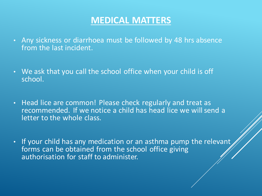### **MEDICAL MATTERS**

- Any sickness or diarrhoea must be followed by 48 hrs absence from the last incident.
- We ask that you call the school office when your child is off school.
- Head lice are common! Please check regularly and treat as recommended. If we notice a child has head lice we will send a letter to the whole class.
- If your child has any medication or an asthma pump the relevant forms can be obtained from the school office giving authorisation for staff to administer.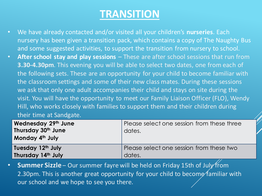## **TRANSITION**

- We have already contacted and/or visited all your children's **nurseries**. Each nursery has been given a transition pack, which contains a copy of The Naughty Bus and some suggested activities, to support the transition from nursery to school.
- **After school stay and play sessions**  These are after school sessions that run from **3.30-4.30pm**. This evening you will be able to select two dates, one from each of the following sets. These are an opportunity for your child to become familiar with the classroom settings and some of their new class mates. During these sessions we ask that only one adult accompanies their child and stays on site during the visit. You will have the opportunity to meet our Family Liaison Officer (FLO), Wendy Hill, who works closely with families to support them and their children during their time at Sandgate.

| Wednesday 29th June<br>Thursday 30th June<br>Monday 4th July | Please select one session from these three<br>dates. |
|--------------------------------------------------------------|------------------------------------------------------|
| Tuesday 12 <sup>th</sup> July                                | Please select one session from these two             |
| Thursday 14th July                                           | dates.                                               |

• **Summer Sizzle** – Our summer fayre will be held on Friday 15th of July from 2.30pm. This is another great opportunity for your child to become familiar with our school and we hope to see you there.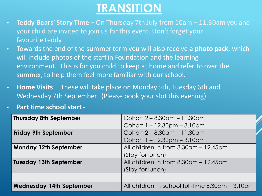## **TRANSITION**

- **Teddy Bears' Story Time** On Thursday 7th July from 10am 11.30am you and your child are invited to join us for this event. Don't forget your favourite teddy!
- Towards the end of the summer term you will also receive a **photo pack**, which will include photos of the staff in Foundation and the learning environment. This is for you child to keep at home and refer to over the summer, to help them feel more familiar with our school.
- **Home Visits**  These will take place on Monday 5th, Tuesday 6th and Wednesday 7th September. (Please book your slot this evening)
- **Part time school start -**

| <b>Thursday 8th September</b>   | Cohort 2 – 8.30am – 11.30am                      |
|---------------------------------|--------------------------------------------------|
|                                 | Cohort $1 - 12.30$ pm $- 3.10$ pm                |
| <b>Friday 9th September</b>     | Cohort 2 – 8.30am – 11.30am                      |
|                                 | Cohort $1 - 12.30$ pm $- 3.10$ pm                |
| Monday 12th September           | All children in from 8.30am - 12.45pm            |
|                                 | (Stay for lunch)                                 |
| <b>Tuesday 13th September</b>   | All children in from 8.30am - 12.45pm            |
|                                 | (Stay for lunch)                                 |
|                                 |                                                  |
| <b>Wednesday 14th September</b> | All children in school full-time 8.30am - 3.10pm |